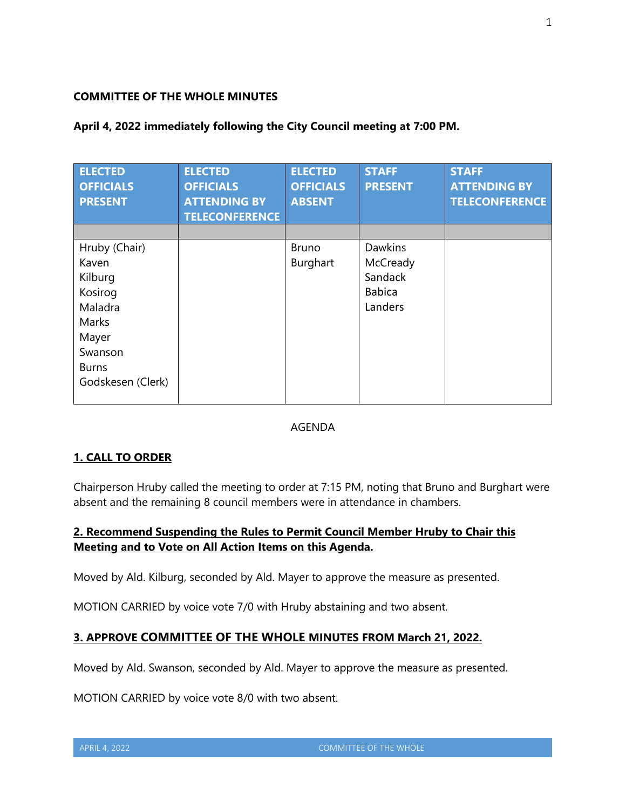### **COMMITTEE OF THE WHOLE MINUTES**

| <b>ELECTED</b><br><b>OFFICIALS</b><br><b>PRESENT</b>                                                                      | <b>ELECTED</b><br><b>OFFICIALS</b><br><b>ATTENDING BY</b><br><b>TELECONFERENCE</b> | <b>ELECTED</b><br><b>OFFICIALS</b><br><b>ABSENT</b> | <b>STAFF</b><br><b>PRESENT</b>                                    | <b>STAFF</b><br><b>ATTENDING BY</b><br><b>TELECONFERENCE</b> |
|---------------------------------------------------------------------------------------------------------------------------|------------------------------------------------------------------------------------|-----------------------------------------------------|-------------------------------------------------------------------|--------------------------------------------------------------|
| Hruby (Chair)<br>Kaven<br>Kilburg<br>Kosirog<br>Maladra<br>Marks<br>Mayer<br>Swanson<br><b>Burns</b><br>Godskesen (Clerk) |                                                                                    | <b>Bruno</b><br>Burghart                            | <b>Dawkins</b><br>McCready<br>Sandack<br><b>Babica</b><br>Landers |                                                              |

### **April 4, 2022 immediately following the City Council meeting at 7:00 PM.**

### AGENDA

# **1. CALL TO ORDER**

Chairperson Hruby called the meeting to order at 7:15 PM, noting that Bruno and Burghart were absent and the remaining 8 council members were in attendance in chambers.

# **2. Recommend Suspending the Rules to Permit Council Member Hruby to Chair this Meeting and to Vote on All Action Items on this Agenda.**

Moved by Ald. Kilburg, seconded by Ald. Mayer to approve the measure as presented.

MOTION CARRIED by voice vote 7/0 with Hruby abstaining and two absent.

# **3. APPROVE COMMITTEE OF THE WHOLE MINUTES FROM March 21, 2022.**

Moved by Ald. Swanson, seconded by Ald. Mayer to approve the measure as presented.

MOTION CARRIED by voice vote 8/0 with two absent.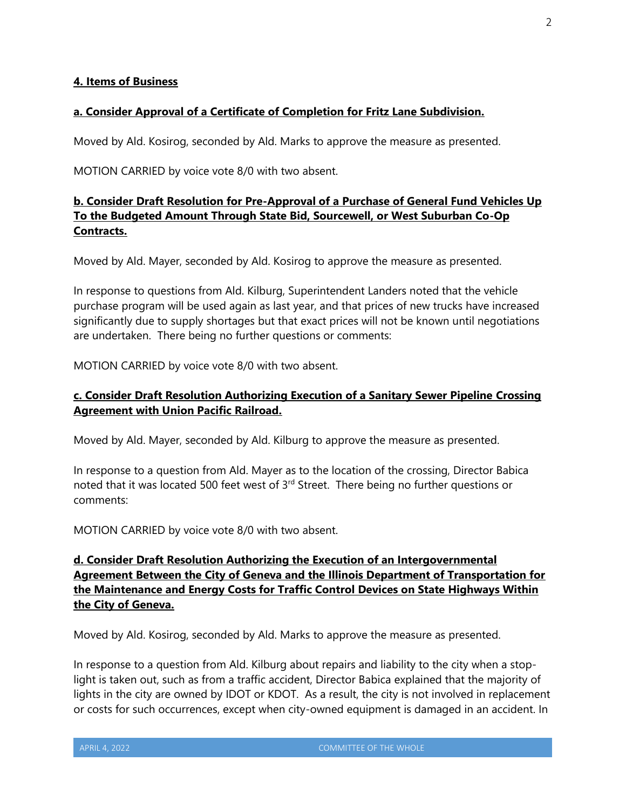#### **4. Items of Business**

#### **a. Consider Approval of a Certificate of Completion for Fritz Lane Subdivision.**

Moved by Ald. Kosirog, seconded by Ald. Marks to approve the measure as presented.

MOTION CARRIED by voice vote 8/0 with two absent.

### **b. Consider Draft Resolution for Pre-Approval of a Purchase of General Fund Vehicles Up To the Budgeted Amount Through State Bid, Sourcewell, or West Suburban Co-Op Contracts.**

Moved by Ald. Mayer, seconded by Ald. Kosirog to approve the measure as presented.

In response to questions from Ald. Kilburg, Superintendent Landers noted that the vehicle purchase program will be used again as last year, and that prices of new trucks have increased significantly due to supply shortages but that exact prices will not be known until negotiations are undertaken. There being no further questions or comments:

MOTION CARRIED by voice vote 8/0 with two absent.

### **c. Consider Draft Resolution Authorizing Execution of a Sanitary Sewer Pipeline Crossing Agreement with Union Pacific Railroad.**

Moved by Ald. Mayer, seconded by Ald. Kilburg to approve the measure as presented.

In response to a question from Ald. Mayer as to the location of the crossing, Director Babica noted that it was located 500 feet west of 3<sup>rd</sup> Street. There being no further questions or comments:

MOTION CARRIED by voice vote 8/0 with two absent.

# **d. Consider Draft Resolution Authorizing the Execution of an Intergovernmental Agreement Between the City of Geneva and the Illinois Department of Transportation for the Maintenance and Energy Costs for Traffic Control Devices on State Highways Within the City of Geneva.**

Moved by Ald. Kosirog, seconded by Ald. Marks to approve the measure as presented.

In response to a question from Ald. Kilburg about repairs and liability to the city when a stoplight is taken out, such as from a traffic accident, Director Babica explained that the majority of lights in the city are owned by IDOT or KDOT. As a result, the city is not involved in replacement or costs for such occurrences, except when city-owned equipment is damaged in an accident. In